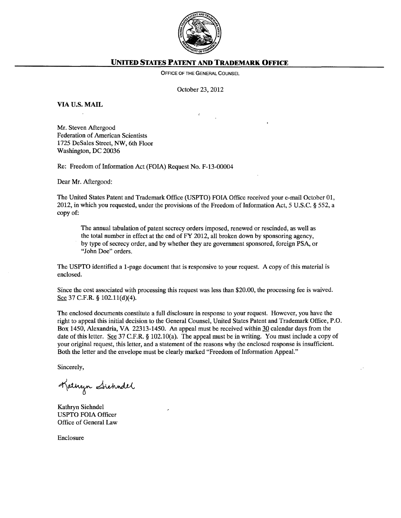

## **UNITED STATES PATENT AND TRADEMARK OFFICE**

OFFICE OF THE GENERAL COUNSEL

October 23, 2012

VIA U.S. **MAIL** 

Mr. Steven Aftergood Federation of American Scientists 1725 DeSales Street, NW, 6th Floor Washington, DC 20036

Re: Freedom of Information Act (FOIA) Request No. F-13-00004

Dear Mr. Aftergood:

The United States Patent and Trademark Office (USPTO) FOIA Office received your e-mail October 01, 2012, in which you requested, under the provisions of the Freedom of Information Act, 5 U.S.C. § 552, a copy of:

The annual tabulation of patent secrecy orders imposed, renewed or rescinded, as well as the total number in effect at the end of FY 2012, all broken down by sponsoring agency, by type of secrecy order, and by whether they are government sponsored, foreign PSA, or "John Doe" orders.

The USPTO identified a 1-page document that is responsive to your request. A copy of this material is enclosed.

Since the cost associated with processing this request was less than \$20.00, the processing fee is waived. See 37 C.F.R. § 102.11(d)(4).

The enclosed documents constitute a full disclosure in response to your request. However, you have the right to appeal this initial decision to the General Counsel, United States Patent and Trademark Office, P.O. Box 1450, Alexandria, VA 22313-1450. An appeal must be received within 30 calendar days from the date of this letter. See 37 C.F.R. § 102.10(a). The appeal must be in writing. You must include a copy of your original request, this letter, and a statement of the reasons why the enclosed response is insufficient. Both the letter and the envelope must be clearly marked "Freedom of Information Appeal."

Sincerely,

Kathyn Sichndel

Kathryn Siehndel USPTO FOIA Officer Office of General Law

Enclosure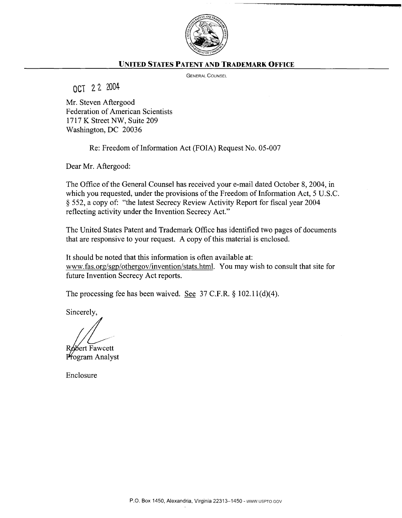

## **UNITED STATES PATENT AND TRADEMARK OFFICE**

GENERAL COUNSEL

OCT 22 2004

Mr. Steven Aftergood Federation of American Scientists 1717 K Street NW, Suite 209 Washington, DC 20036

Re: Freedom of Information Act (FOIA) Request No. 05-007

Dear Mr. Aftergood:

The Office of the General Counsel has received your e-mail dated October 8, 2004, in which you requested, under the provisions of the Freedom of Information Act, 5 U.S.C. § 552, a copy of: "the latest Secrecy Review Activity Report for fiscal year 2004 reflecting activity under the Invention Secrecy Act."

The United States Patent and Trademark Office has identified two pages of documents that are responsive to your request. A copy of this material is enclosed.

It should be noted that this information is often available at: www.fas.org/sgp/othergov/invention/stats.html. You may wish to consult that site for future Invention Secrecy Act reports.

The processing fee has been waived. See 37 C.F.R. § 102.11(d)(4).

Sincerely,

bbert Fawcett Program Analyst

Enclosure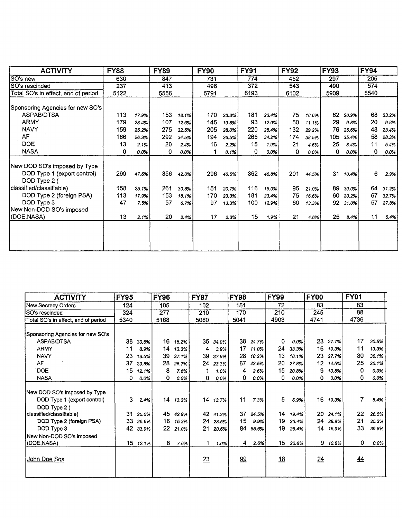| <b>ACTIVITY</b>                                                             | <b>FY88</b> |       | <b>FY89</b> |       | <b>FY90</b> |       | <b>FY91</b> |       | <b>FY92</b> |       | <b>FY93</b> |       | <b>FY94</b> |         |
|-----------------------------------------------------------------------------|-------------|-------|-------------|-------|-------------|-------|-------------|-------|-------------|-------|-------------|-------|-------------|---------|
| SO's new                                                                    | 630         |       | 847         |       | 731         |       | 774         |       | 452         |       | 297         |       | 205         |         |
| SO's rescinded                                                              | 237         |       | 413         |       | 496         |       | 372         |       | 543         |       | 490         |       | 574         |         |
| Total SO's in effect, end of period                                         | 5122        |       | 5556        |       | 5791        |       | 6193        |       | 6102        |       | 5909        |       | 5540        |         |
| Sponsoring Agencies for new SO's                                            |             |       |             |       |             |       |             |       |             |       |             |       |             |         |
| ASPAB/DTSA                                                                  | 113         | 17.9% | 153         | 18.1% | 170         | 23.3% | 181         | 23.4% | 75          | 16.6% | 62          | 20.9% | 68          | 33.2%   |
| <b>ARMY</b>                                                                 | 179         | 28.4% | 107         | 12.6% | 145         | 19.8% | 93          | 12.0% | 50          | 11.1% | 29          | 9.8%  | 20          | $9.8\%$ |
| <b>NAVY</b>                                                                 | 159         | 25.2% | 275         | 32.5% | 205         | 28.0% | 220         | 28.4% | 132         | 29.2% | 76          | 25.6% | 48          | 23.4%   |
| AF                                                                          | 166         | 26.3% | 292         | 34.5% | 194         | 26.5% | 265         | 34.2% | 174         | 38.5% | 105         | 35.4% | 58          | 28.3%   |
| <b>DOE</b>                                                                  | 13          | 2.1%  | 20          | 2.4%  | 16          | 2.2%  | 15          | 1.9%  | 21          | 4.6%  | 25          | 8.4%  | 11          | 5.4%    |
| <b>NASA</b>                                                                 | 0           | 0.0%  | 0           | 0.0%  |             | 0.1%  | 0           | 0.0%  | 0           | 0.0%  | 0           | 0.0%  | 0           | $0.0\%$ |
| New DOD SO's imposed by Type<br>DOD Type 1 (export control)<br>DOD Type 2 ( | 299         | 47.5% | 356         | 42.0% | 296         | 40.5% | 362         | 46.8% | 201         | 44.5% | 31          | 10.4% | 6           | 2.9%    |
| classified/classifiable)                                                    | 158         | 25.1% | 261         | 30.8% | 151         | 20.7% | 116         | 15.0% | 95          | 21.0% | 89          | 30.0% | 64          | 31.2%   |
| DOD Type 2 (foreign PSA)                                                    | 113         | 17.9% | 153         | 18.1% | 170         | 23.3% | 181         | 23.4% | 75          | 16.6% | 60          | 20.2% | 67          | 32.7%   |
| DOD Type 3<br>New Non-DOD SO's imposed                                      | 47          | 7.5%  | 57          | 6.7%  | 97          | 13.3% | 100         | 12.9% | 60          | 13.3% | 92          | 31.0% | 57          | 27.8%   |
| (DOE,NASA)                                                                  | 13          | 2.1%  | 20          | 2.4%  | 17          | 2.3%  | 15          | 1.9%  | 21          | 4.6%  | 25          | 8.4%  | 11          | 5.4%    |
|                                                                             |             |       |             |       |             |       |             |       |             |       |             |       |             |         |

| <b>ACTIVITY</b>                                                                                                                                   | <b>FY95</b>          |                                 | <b>FY96</b>               |                                  | <b>FY97</b>          |                                  | <b>FY98</b>          |                                | <b>FY99</b>            |                                 | <b>FY00</b>          |                                  | <b>FY01</b>         |                                 |
|---------------------------------------------------------------------------------------------------------------------------------------------------|----------------------|---------------------------------|---------------------------|----------------------------------|----------------------|----------------------------------|----------------------|--------------------------------|------------------------|---------------------------------|----------------------|----------------------------------|---------------------|---------------------------------|
| <b>New Secrecy Orders</b>                                                                                                                         | 124                  |                                 | 105                       |                                  | 102                  |                                  | 151                  |                                | 72                     |                                 | 83                   |                                  | 83                  |                                 |
| SO's rescinded                                                                                                                                    | 324                  |                                 | 277                       |                                  | 210                  |                                  | 170                  |                                | 210                    |                                 | 245                  |                                  | 88                  |                                 |
| Total SO's in effect, end of period                                                                                                               | 5340                 |                                 | 5168                      |                                  | 5060                 |                                  | 5041                 |                                | 4903                   |                                 | 4741                 |                                  | 4736                |                                 |
| Sponsoring Agencies for new SO's                                                                                                                  |                      |                                 |                           |                                  |                      |                                  |                      |                                |                        |                                 |                      |                                  |                     |                                 |
| ASPAB/DTSA                                                                                                                                        | 38                   | 30.6%                           | 16                        | 15.2%                            | 35                   | 34.0%                            | 38                   | 24.7%                          | 0                      | 0.0%                            | 23                   | 27.7%                            | 17                  | 20.5%                           |
| <b>ARMY</b>                                                                                                                                       | 11                   | 8.9%                            | 14                        | 13.3%                            | 4                    | 3.9%                             | 17                   | 11.0%                          | 24                     | 33.3%                           | 16                   | 19.3%                            | 11                  | 13.3%                           |
| <b>NAVY</b>                                                                                                                                       | 23                   | 18.5%                           | 39                        | 37.1%                            | 39                   | 37.9%                            | 28                   | 18.2%                          | 13                     | 18.1%                           | 23                   | 27.7%                            | 30                  | 36.1%                           |
| AF                                                                                                                                                | 37                   | 29.8%                           | 28                        | 26.7%                            | 24                   | 23.3%                            | 67                   | 43.5%                          | 20                     | 27.8%                           | 12                   | 14.5%                            | 25                  | 30.1%                           |
| <b>DOE</b>                                                                                                                                        | 15                   | 12.1%                           | 8                         | 7.6%                             |                      | 1.0%                             | 4                    | 2.6%                           | 15                     | 20.8%                           | 9                    | 10.8%                            | 0                   | 0.0%                            |
| <b>NASA</b>                                                                                                                                       | 0                    | 0.0%                            | 0                         | 0.0%                             | 0                    | 0.0%                             | 0                    | 0.0%                           | 0                      | 0.0%                            | 0                    | 0.0%                             | 0                   | 0.0%                            |
| New DOD SO's imposed by Type<br>DOD Type 1 (export control)<br>DOD Type 2 (<br>classified/classifiable)<br>DOD Type 2 (foreign PSA)<br>DOD Type 3 | З.<br>31<br>33<br>42 | 2.4%<br>25.0%<br>26.6%<br>33.9% | 14<br>45<br>16<br>$22 \,$ | 13.3%<br>42.9%<br>15.2%<br>21.0% | 14<br>42<br>24<br>21 | 13.7%<br>41.2%<br>23.5%<br>20.6% | 11<br>37<br>15<br>84 | 7.3%<br>24.5%<br>9.9%<br>55.6% | 5<br>14<br>19<br>19    | 6.9%<br>19.4%<br>26.4%<br>26.4% | 16<br>20<br>24<br>14 | 19.3%<br>24.1%<br>28.9%<br>16.9% | 7<br>22<br>21<br>33 | 8.4%<br>26.5%<br>25.3%<br>39.8% |
| New Non-DOD SO's imposed<br>(DOE, NASA)<br><u>John Doe Sos</u>                                                                                    |                      | 15 12.1%                        | 8                         | 7.6%                             | 1<br>23              | 1.0%                             | 4<br>99              | 2.6%                           | 15 <sub>15</sub><br>18 | 20.8%                           | 9<br>24              | 10.8%                            | 0<br>44             | 0.0%                            |
|                                                                                                                                                   |                      |                                 |                           |                                  |                      |                                  |                      |                                |                        |                                 |                      |                                  |                     |                                 |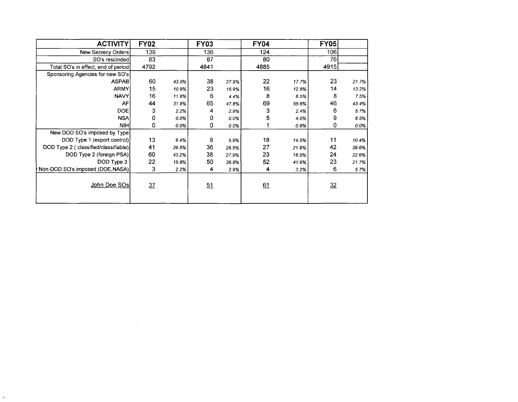| <b>ACTIVITY</b>                       | <b>FY02</b> |       | <b>FY03</b> |         | <b>FY04</b> |       | <b>FY05</b> |       |
|---------------------------------------|-------------|-------|-------------|---------|-------------|-------|-------------|-------|
| New Secrecy Orders                    | 139         |       | 136         |         | 124         |       | 106         |       |
| SO's rescinded                        | 83          |       | 87          |         | 80          |       | 76          |       |
| Total SO's in effect, end of period   | 4792        |       | 4841        |         | 4885        |       | 4915        |       |
| Sponsoring Agencies for new SO's      |             |       |             |         |             |       |             |       |
| <b>ASPAB</b>                          | 60          | 43.5% | 38          | 27.9%   | 22          | 17.7% | 23          | 21.7% |
| <b>ARMY</b>                           | 15          | 10.9% | 23          | 16.9%   | 16          | 12.9% | 14          | 13.2% |
| <b>NAVY</b>                           | 16          | 11.6% | 6           | 4.4%    | 8           | 6.5%  | 8           | 7.5%  |
| AF                                    | 44          | 31.9% | 65          | 47.8%   | 69          | 55.6% | 46          | 43.4% |
| <b>DOE</b>                            | 3           | 2.2%  | 4           | 2.9%    | 3           | 2.4%  | 6           | 5.7%  |
| <b>NSA</b>                            | 0           | 0.0%  | 0           | 0.0%    | 5           | 4.0%  | 9           | 8.5%  |
| <b>NIH</b>                            | 0           | 0.0%  | 0           | $0.0\%$ |             | 0.8%  | 0           | 0.0%  |
| New DOD SO's imposed by Type          |             |       |             |         |             |       |             |       |
| DOD Type 1 (export control)           | 13          | 9.4%  | 8           | 59%     | 18          | 14.5% | 11          | 10.4% |
| DOD Type 2 ( classified/classifiable) | 41          | 29.5% | 36          | 26.5%   | 27          | 21.8% | 42          | 39.6% |
| DOD Type 2 (foreign PSA)              | 60          | 43.2% | 38          | 27.9%   | 23          | 18.5% | 24          | 22.6% |
| DOD Type 3                            | 22          | 15.8% | 50          | 36.8%   | 52          | 41.9% | 23          | 21.7% |
| Non-DOD SO's imposed (DOE,NASA)       | 3           | 2.2%  | 4           | 2.9%    | 4           | 3.2%  | 6           | 5.7%  |
| John Doe SOs                          | 37          |       | 51          |         | 61          |       | 32          |       |

 $\mathcal{L}(\mathcal{L}(\mathcal{L}))$  and  $\mathcal{L}(\mathcal{L}(\mathcal{L}))$  . The contribution of the contribution of  $\mathcal{L}(\mathcal{L})$